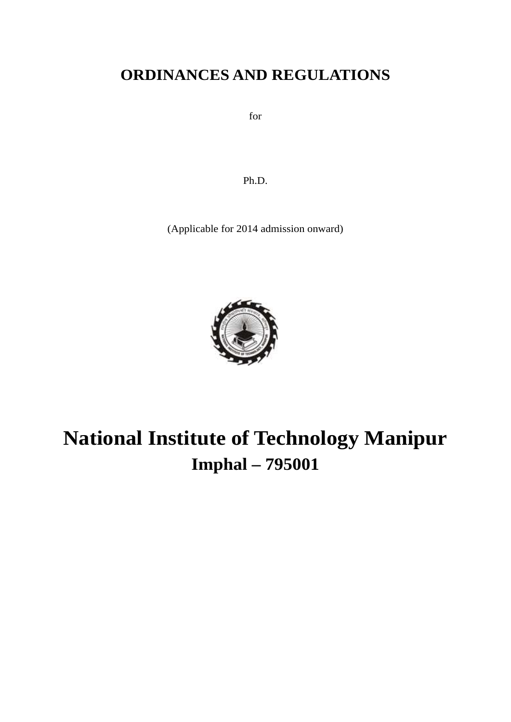# **ORDINANCES AND REGULATIONS**

for

Ph.D.

(Applicable for 2014 admission onward)



# **National Institute of Technology Manipur Imphal – 795001**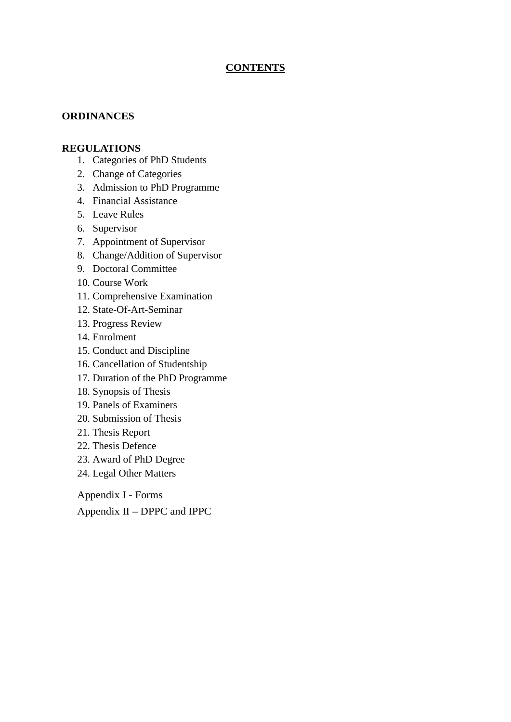## **CONTENTS**

#### **ORDINANCES**

#### **REGULATIONS**

- 1. Categories of PhD Students
- 2. Change of Categories
- 3. Admission to PhD Programme
- 4. Financial Assistance
- 5. Leave Rules
- 6. Supervisor
- 7. Appointment of Supervisor
- 8. Change/Addition of Supervisor
- 9. Doctoral Committee
- 10. Course Work
- 11. Comprehensive Examination
- 12. State-Of-Art-Seminar
- 13. Progress Review
- 14. Enrolment
- 15. Conduct and Discipline
- 16. Cancellation of Studentship
- 17. Duration of the PhD Programme
- 18. Synopsis of Thesis
- 19. Panels of Examiners
- 20. Submission of Thesis
- 21. Thesis Report
- 22. Thesis Defence
- 23. Award of PhD Degree
- 24. Legal Other Matters

Appendix I - Forms

Appendix II – DPPC and IPPC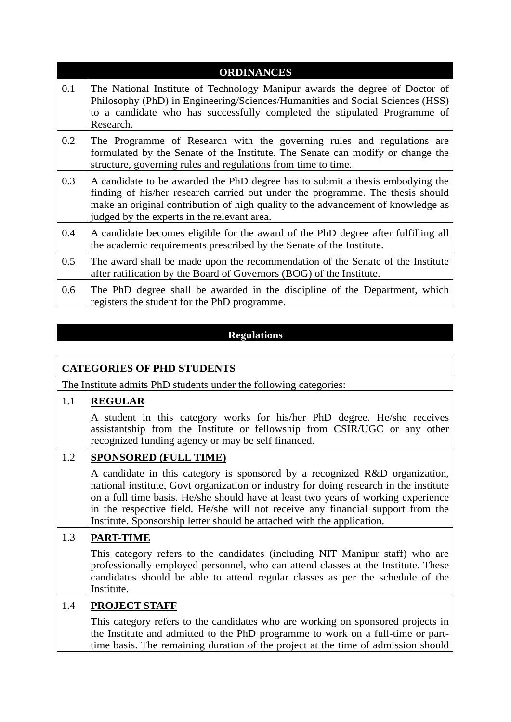|     | <b>ORDINANCES</b>                                                                                                                                                                                                                                                                                  |
|-----|----------------------------------------------------------------------------------------------------------------------------------------------------------------------------------------------------------------------------------------------------------------------------------------------------|
| 0.1 | The National Institute of Technology Manipur awards the degree of Doctor of<br>Philosophy (PhD) in Engineering/Sciences/Humanities and Social Sciences (HSS)<br>to a candidate who has successfully completed the stipulated Programme of<br>Research.                                             |
| 0.2 | The Programme of Research with the governing rules and regulations are<br>formulated by the Senate of the Institute. The Senate can modify or change the<br>structure, governing rules and regulations from time to time.                                                                          |
| 0.3 | A candidate to be awarded the PhD degree has to submit a thesis embodying the<br>finding of his/her research carried out under the programme. The thesis should<br>make an original contribution of high quality to the advancement of knowledge as<br>judged by the experts in the relevant area. |
| 0.4 | A candidate becomes eligible for the award of the PhD degree after fulfilling all<br>the academic requirements prescribed by the Senate of the Institute.                                                                                                                                          |
| 0.5 | The award shall be made upon the recommendation of the Senate of the Institute<br>after ratification by the Board of Governors (BOG) of the Institute.                                                                                                                                             |
| 0.6 | The PhD degree shall be awarded in the discipline of the Department, which<br>registers the student for the PhD programme.                                                                                                                                                                         |

# **Regulations**

|     | <b>CATEGORIES OF PHD STUDENTS</b>                                                                                                                                                                                                                                                                                                                                                                                      |
|-----|------------------------------------------------------------------------------------------------------------------------------------------------------------------------------------------------------------------------------------------------------------------------------------------------------------------------------------------------------------------------------------------------------------------------|
|     | The Institute admits PhD students under the following categories:                                                                                                                                                                                                                                                                                                                                                      |
| 1.1 | <b>REGULAR</b>                                                                                                                                                                                                                                                                                                                                                                                                         |
|     | A student in this category works for his/her PhD degree. He/she receives<br>assistantship from the Institute or fellowship from CSIR/UGC or any other<br>recognized funding agency or may be self financed.                                                                                                                                                                                                            |
| 1.2 | <b>SPONSORED (FULL TIME)</b>                                                                                                                                                                                                                                                                                                                                                                                           |
|     | A candidate in this category is sponsored by a recognized R&D organization,<br>national institute, Govt organization or industry for doing research in the institute<br>on a full time basis. He/she should have at least two years of working experience<br>in the respective field. He/she will not receive any financial support from the<br>Institute. Sponsorship letter should be attached with the application. |
| 1.3 | <b>PART-TIME</b>                                                                                                                                                                                                                                                                                                                                                                                                       |
|     | This category refers to the candidates (including NIT Manipur staff) who are<br>professionally employed personnel, who can attend classes at the Institute. These<br>candidates should be able to attend regular classes as per the schedule of the<br>Institute.                                                                                                                                                      |
| 1.4 | <b>PROJECT STAFF</b>                                                                                                                                                                                                                                                                                                                                                                                                   |
|     | This category refers to the candidates who are working on sponsored projects in<br>the Institute and admitted to the PhD programme to work on a full-time or part-<br>time basis. The remaining duration of the project at the time of admission should                                                                                                                                                                |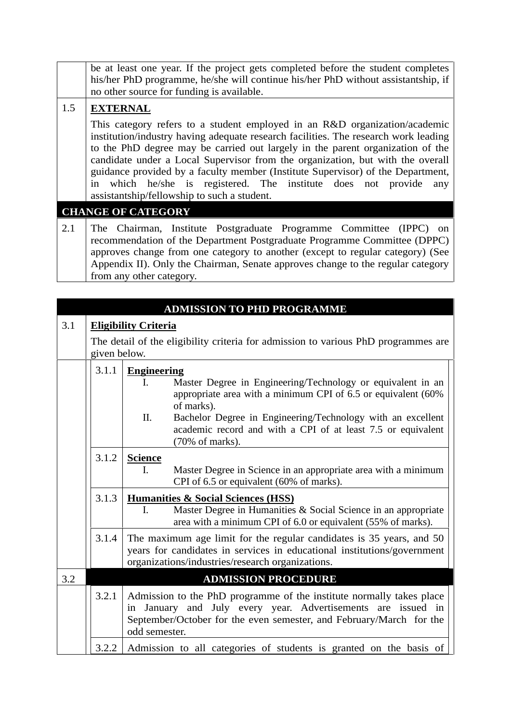|     | be at least one year. If the project gets completed before the student completes<br>his/her PhD programme, he/she will continue his/her PhD without assistantship, if<br>no other source for funding is available.                                                                                                                                                                                                                                                                                                                              |
|-----|-------------------------------------------------------------------------------------------------------------------------------------------------------------------------------------------------------------------------------------------------------------------------------------------------------------------------------------------------------------------------------------------------------------------------------------------------------------------------------------------------------------------------------------------------|
| 1.5 | <b>EXTERNAL</b>                                                                                                                                                                                                                                                                                                                                                                                                                                                                                                                                 |
|     | This category refers to a student employed in an R&D organization/academic<br>institution/industry having adequate research facilities. The research work leading<br>to the PhD degree may be carried out largely in the parent organization of the<br>candidate under a Local Supervisor from the organization, but with the overall<br>guidance provided by a faculty member (Institute Supervisor) of the Department,<br>in which he/she is registered. The institute does not provide<br>any<br>assistantship/fellowship to such a student. |
|     | <b>CHANGE OF CATEGORY</b>                                                                                                                                                                                                                                                                                                                                                                                                                                                                                                                       |
| 2.1 | The Chairman, Institute Postgraduate Programme Committee (IPPC) on<br>recommendation of the Department Postgraduate Programme Committee (DPPC)<br>approves change from one category to another (except to regular category) (See<br>Appendix II). Only the Chairman, Senate approves change to the regular category<br>from any other category.                                                                                                                                                                                                 |

|     |              | <b>ADMISSION TO PHD PROGRAMME</b>                                                                                                                                                                                                                                                                            |
|-----|--------------|--------------------------------------------------------------------------------------------------------------------------------------------------------------------------------------------------------------------------------------------------------------------------------------------------------------|
| 3.1 |              | <b>Eligibility Criteria</b>                                                                                                                                                                                                                                                                                  |
|     | given below. | The detail of the eligibility criteria for admission to various PhD programmes are                                                                                                                                                                                                                           |
|     | 3.1.1        | <b>Engineering</b><br>Master Degree in Engineering/Technology or equivalent in an<br>L.<br>appropriate area with a minimum CPI of 6.5 or equivalent (60%<br>of marks).<br>II.<br>Bachelor Degree in Engineering/Technology with an excellent<br>academic record and with a CPI of at least 7.5 or equivalent |
|     | 3.1.2        | (70% of marks).<br><b>Science</b><br>Master Degree in Science in an appropriate area with a minimum<br>$\mathbf{I}$ .<br>CPI of 6.5 or equivalent (60% of marks).                                                                                                                                            |
|     | 3.1.3        | <b>Humanities &amp; Social Sciences (HSS)</b><br>Master Degree in Humanities & Social Science in an appropriate<br>I.<br>area with a minimum CPI of 6.0 or equivalent (55% of marks).                                                                                                                        |
|     | 3.1.4        | The maximum age limit for the regular candidates is 35 years, and 50<br>years for candidates in services in educational institutions/government<br>organizations/industries/research organizations.                                                                                                          |
| 3.2 |              | <b>ADMISSION PROCEDURE</b>                                                                                                                                                                                                                                                                                   |
|     | 3.2.1        | Admission to the PhD programme of the institute normally takes place<br>in January and July every year. Advertisements are issued in<br>September/October for the even semester, and February/March for the<br>odd semester.                                                                                 |
|     | 3.2.2        | Admission to all categories of students is granted on the basis of                                                                                                                                                                                                                                           |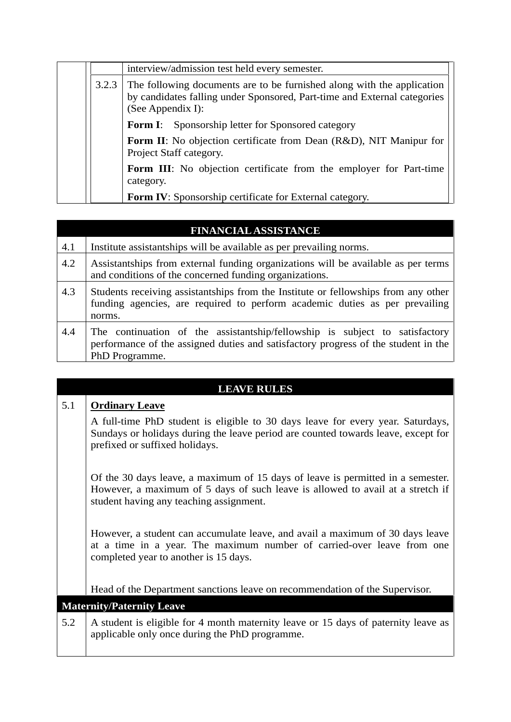|       | interview/admission test held every semester.                                                                                                                           |
|-------|-------------------------------------------------------------------------------------------------------------------------------------------------------------------------|
| 3.2.3 | The following documents are to be furnished along with the application<br>by candidates falling under Sponsored, Part-time and External categories<br>(See Appendix I): |
|       | <b>Form I:</b> Sponsorship letter for Sponsored category                                                                                                                |
|       | <b>Form II:</b> No objection certificate from Dean (R&D), NIT Manipur for<br>Project Staff category.                                                                    |
|       | Form III: No objection certificate from the employer for Part-time<br>category.                                                                                         |
|       | Form IV: Sponsorship certificate for External category.                                                                                                                 |

|     | <b>FINANCIAL ASSISTANCE</b>                                                                                                                                                         |
|-----|-------------------------------------------------------------------------------------------------------------------------------------------------------------------------------------|
| 4.1 | Institute assistantships will be available as per prevailing norms.                                                                                                                 |
| 4.2 | Assistantships from external funding organizations will be available as per terms<br>and conditions of the concerned funding organizations.                                         |
| 4.3 | Students receiving assistantships from the Institute or fellowships from any other<br>funding agencies, are required to perform academic duties as per prevailing<br>norms.         |
| 4.4 | The continuation of the assistantship/fellowship is subject to satisfactory<br>performance of the assigned duties and satisfactory progress of the student in the<br>PhD Programme. |

## **LEAVE RULES**

#### 5.1 **Ordinary Leave**

A full-time PhD student is eligible to 30 days leave for every year. Saturdays, Sundays or holidays during the leave period are counted towards leave, except for prefixed or suffixed holidays.

Of the 30 days leave, a maximum of 15 days of leave is permitted in a semester. However, a maximum of 5 days of such leave is allowed to avail at a stretch if student having any teaching assignment.

However, a student can accumulate leave, and avail a maximum of 30 days leave at a time in a year. The maximum number of carried-over leave from one completed year to another is 15 days.

Head of the Department sanctions leave on recommendation of the Supervisor.

#### **Maternity/Paternity Leave**

5.2 A student is eligible for 4 month maternity leave or 15 days of paternity leave as applicable only once during the PhD programme.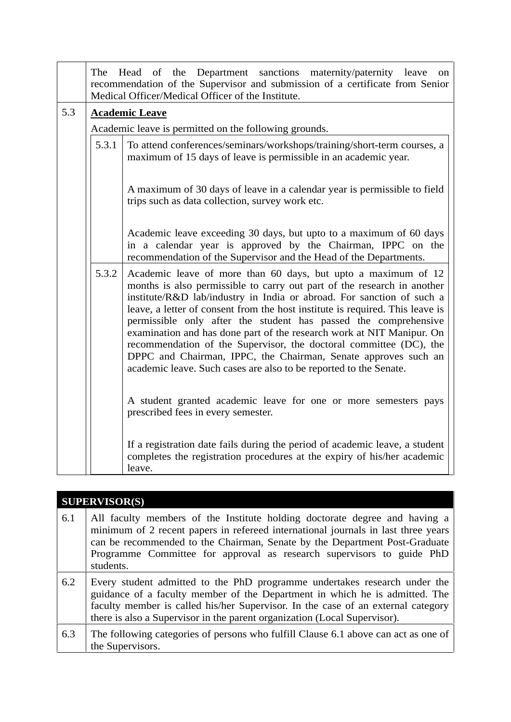|     |       | The Head of the Department sanctions maternity/paternity leave on<br>recommendation of the Supervisor and submission of a certificate from Senior<br>Medical Officer/Medical Officer of the Institute.                                                                                                                                                                                                                                                                                                                                                                                                                                                      |
|-----|-------|-------------------------------------------------------------------------------------------------------------------------------------------------------------------------------------------------------------------------------------------------------------------------------------------------------------------------------------------------------------------------------------------------------------------------------------------------------------------------------------------------------------------------------------------------------------------------------------------------------------------------------------------------------------|
| 5.3 |       | <b>Academic Leave</b>                                                                                                                                                                                                                                                                                                                                                                                                                                                                                                                                                                                                                                       |
|     |       | Academic leave is permitted on the following grounds.                                                                                                                                                                                                                                                                                                                                                                                                                                                                                                                                                                                                       |
|     | 5.3.1 | To attend conferences/seminars/workshops/training/short-term courses, a<br>maximum of 15 days of leave is permissible in an academic year.                                                                                                                                                                                                                                                                                                                                                                                                                                                                                                                  |
|     |       | A maximum of 30 days of leave in a calendar year is permissible to field<br>trips such as data collection, survey work etc.                                                                                                                                                                                                                                                                                                                                                                                                                                                                                                                                 |
|     |       | Academic leave exceeding 30 days, but upto to a maximum of 60 days<br>in a calendar year is approved by the Chairman, IPPC on the<br>recommendation of the Supervisor and the Head of the Departments.                                                                                                                                                                                                                                                                                                                                                                                                                                                      |
|     | 5.3.2 | Academic leave of more than 60 days, but upto a maximum of 12<br>months is also permissible to carry out part of the research in another<br>institute/R&D lab/industry in India or abroad. For sanction of such a<br>leave, a letter of consent from the host institute is required. This leave is<br>permissible only after the student has passed the comprehensive<br>examination and has done part of the research work at NIT Manipur. On<br>recommendation of the Supervisor, the doctoral committee (DC), the<br>DPPC and Chairman, IPPC, the Chairman, Senate approves such an<br>academic leave. Such cases are also to be reported to the Senate. |
|     |       | A student granted academic leave for one or more semesters pays<br>prescribed fees in every semester.                                                                                                                                                                                                                                                                                                                                                                                                                                                                                                                                                       |
|     |       | If a registration date fails during the period of academic leave, a student<br>completes the registration procedures at the expiry of his/her academic<br>leave.                                                                                                                                                                                                                                                                                                                                                                                                                                                                                            |

|     | <b>SUPERVISOR(S)</b>                                                                                                                                                                                                                                                                                                                |
|-----|-------------------------------------------------------------------------------------------------------------------------------------------------------------------------------------------------------------------------------------------------------------------------------------------------------------------------------------|
| 6.1 | All faculty members of the Institute holding doctorate degree and having a<br>minimum of 2 recent papers in refereed international journals in last three years<br>can be recommended to the Chairman, Senate by the Department Post-Graduate<br>Programme Committee for approval as research supervisors to guide PhD<br>students. |
| 6.2 | Every student admitted to the PhD programme undertakes research under the<br>guidance of a faculty member of the Department in which he is admitted. The<br>faculty member is called his/her Supervisor. In the case of an external category<br>there is also a Supervisor in the parent organization (Local Supervisor).           |
| 6.3 | The following categories of persons who fulfill Clause 6.1 above can act as one of<br>the Supervisors.                                                                                                                                                                                                                              |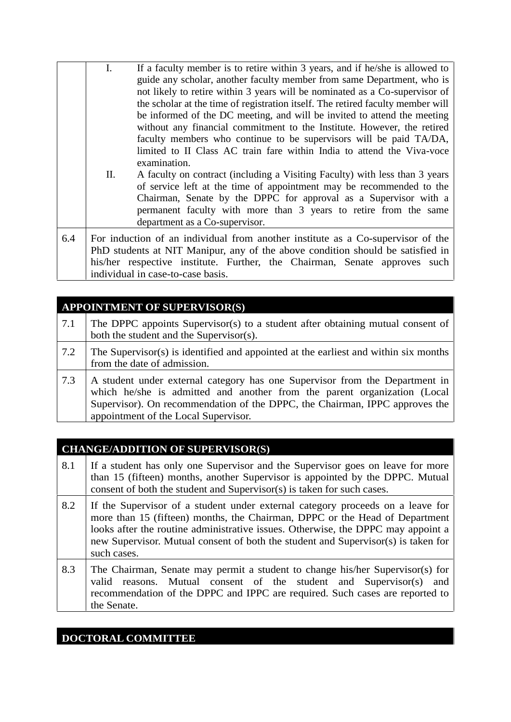|     | Ι.<br>П. | If a faculty member is to retire within 3 years, and if he/she is allowed to<br>guide any scholar, another faculty member from same Department, who is<br>not likely to retire within 3 years will be nominated as a Co-supervisor of<br>the scholar at the time of registration itself. The retired faculty member will<br>be informed of the DC meeting, and will be invited to attend the meeting<br>without any financial commitment to the Institute. However, the retired<br>faculty members who continue to be supervisors will be paid TA/DA,<br>limited to II Class AC train fare within India to attend the Viva-voce<br>examination.<br>A faculty on contract (including a Visiting Faculty) with less than 3 years<br>of service left at the time of appointment may be recommended to the<br>Chairman, Senate by the DPPC for approval as a Supervisor with a<br>permanent faculty with more than 3 years to retire from the same |  |
|-----|----------|------------------------------------------------------------------------------------------------------------------------------------------------------------------------------------------------------------------------------------------------------------------------------------------------------------------------------------------------------------------------------------------------------------------------------------------------------------------------------------------------------------------------------------------------------------------------------------------------------------------------------------------------------------------------------------------------------------------------------------------------------------------------------------------------------------------------------------------------------------------------------------------------------------------------------------------------|--|
|     |          | department as a Co-supervisor.                                                                                                                                                                                                                                                                                                                                                                                                                                                                                                                                                                                                                                                                                                                                                                                                                                                                                                                 |  |
| 6.4 |          | For induction of an individual from another institute as a Co-supervisor of the<br>PhD students at NIT Manipur, any of the above condition should be satisfied in<br>his/her respective institute. Further, the Chairman, Senate approves such<br>individual in case-to-case basis.                                                                                                                                                                                                                                                                                                                                                                                                                                                                                                                                                                                                                                                            |  |

#### **APPOINTMENT OF SUPERVISOR(S)**

|  | The DPPC appoints Supervisor(s) to a student after obtaining mutual consent of |  |
|--|--------------------------------------------------------------------------------|--|
|  | both the student and the Supervisor(s).                                        |  |

- 7.2 The Supervisor(s) is identified and appointed at the earliest and within six months from the date of admission.
- 7.3 A student under external category has one Supervisor from the Department in which he/she is admitted and another from the parent organization (Local Supervisor). On recommendation of the DPPC, the Chairman, IPPC approves the appointment of the Local Supervisor.

#### **CHANGE/ADDITION OF SUPERVISOR(S)**

- 8.1 If a student has only one Supervisor and the Supervisor goes on leave for more than 15 (fifteen) months, another Supervisor is appointed by the DPPC. Mutual consent of both the student and Supervisor(s) is taken for such cases.
- 8.2 If the Supervisor of a student under external category proceeds on a leave for more than 15 (fifteen) months, the Chairman, DPPC or the Head of Department looks after the routine administrative issues. Otherwise, the DPPC may appoint a new Supervisor. Mutual consent of both the student and Supervisor(s) is taken for such cases.
- 8.3 The Chairman, Senate may permit a student to change his/her Supervisor(s) for valid reasons. Mutual consent of the student and Supervisor(s) and recommendation of the DPPC and IPPC are required. Such cases are reported to the Senate.

### **DOCTORAL COMMITTEE**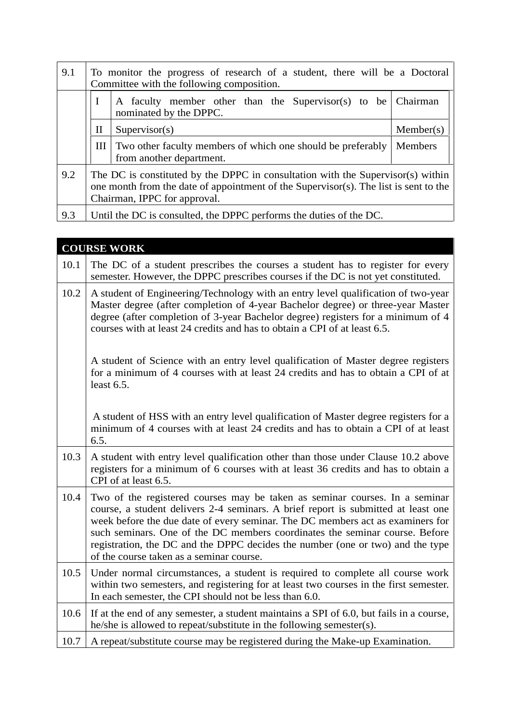| 9.1 | To monitor the progress of research of a student, there will be a Doctoral<br>Committee with the following composition.                                                                                 |                                                                                         |                |
|-----|---------------------------------------------------------------------------------------------------------------------------------------------------------------------------------------------------------|-----------------------------------------------------------------------------------------|----------------|
|     | I                                                                                                                                                                                                       | A faculty member other than the Supervisor(s) to be Chairman<br>nominated by the DPPC.  |                |
|     | $\mathbf{I}$                                                                                                                                                                                            | Supervisor(s)                                                                           | Member(s)      |
|     | Ш                                                                                                                                                                                                       | Two other faculty members of which one should be preferably<br>from another department. | <b>Members</b> |
| 9.2 | The DC is constituted by the DPPC in consultation with the Supervisor(s) within<br>one month from the date of appointment of the Supervisor(s). The list is sent to the<br>Chairman, IPPC for approval. |                                                                                         |                |
| 9.3 |                                                                                                                                                                                                         | Until the DC is consulted, the DPPC performs the duties of the DC.                      |                |

|      | <b>COURSE WORK</b>                                                                                                                                                                                                                                                                                                                                                                                                                                              |
|------|-----------------------------------------------------------------------------------------------------------------------------------------------------------------------------------------------------------------------------------------------------------------------------------------------------------------------------------------------------------------------------------------------------------------------------------------------------------------|
| 10.1 | The DC of a student prescribes the courses a student has to register for every<br>semester. However, the DPPC prescribes courses if the DC is not yet constituted.                                                                                                                                                                                                                                                                                              |
| 10.2 | A student of Engineering/Technology with an entry level qualification of two-year<br>Master degree (after completion of 4-year Bachelor degree) or three-year Master<br>degree (after completion of 3-year Bachelor degree) registers for a minimum of 4<br>courses with at least 24 credits and has to obtain a CPI of at least 6.5.                                                                                                                           |
|      | A student of Science with an entry level qualification of Master degree registers<br>for a minimum of 4 courses with at least 24 credits and has to obtain a CPI of at<br>least $6.5$ .                                                                                                                                                                                                                                                                         |
|      | A student of HSS with an entry level qualification of Master degree registers for a<br>minimum of 4 courses with at least 24 credits and has to obtain a CPI of at least<br>6.5.                                                                                                                                                                                                                                                                                |
| 10.3 | A student with entry level qualification other than those under Clause 10.2 above<br>registers for a minimum of 6 courses with at least 36 credits and has to obtain a<br>CPI of at least 6.5.                                                                                                                                                                                                                                                                  |
| 10.4 | Two of the registered courses may be taken as seminar courses. In a seminar<br>course, a student delivers 2-4 seminars. A brief report is submitted at least one<br>week before the due date of every seminar. The DC members act as examiners for<br>such seminars. One of the DC members coordinates the seminar course. Before<br>registration, the DC and the DPPC decides the number (one or two) and the type<br>of the course taken as a seminar course. |
| 10.5 | Under normal circumstances, a student is required to complete all course work<br>within two semesters, and registering for at least two courses in the first semester.<br>In each semester, the CPI should not be less than 6.0.                                                                                                                                                                                                                                |
| 10.6 | If at the end of any semester, a student maintains a SPI of 6.0, but fails in a course,<br>he/she is allowed to repeat/substitute in the following semester(s).                                                                                                                                                                                                                                                                                                 |
| 10.7 | A repeat/substitute course may be registered during the Make-up Examination.                                                                                                                                                                                                                                                                                                                                                                                    |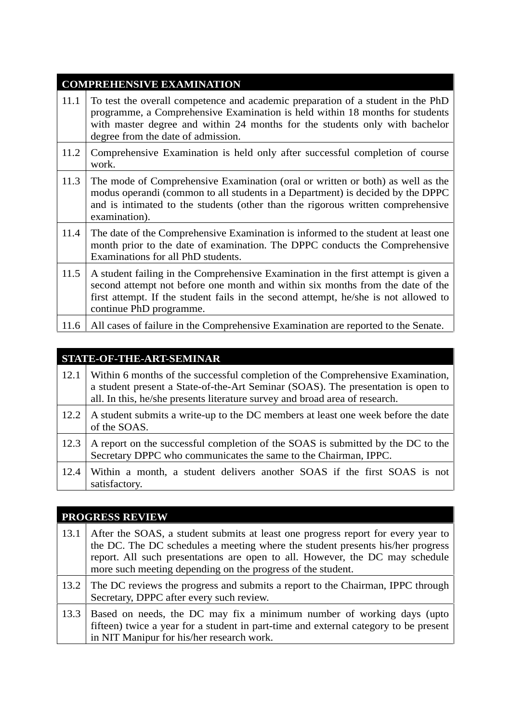## **COMPREHENSIVE EXAMINATION**

| 11.1 | To test the overall competence and academic preparation of a student in the PhD<br>programme, a Comprehensive Examination is held within 18 months for students<br>with master degree and within 24 months for the students only with bachelor<br>degree from the date of admission.   |
|------|----------------------------------------------------------------------------------------------------------------------------------------------------------------------------------------------------------------------------------------------------------------------------------------|
| 11.2 | Comprehensive Examination is held only after successful completion of course<br>work.                                                                                                                                                                                                  |
| 11.3 | The mode of Comprehensive Examination (oral or written or both) as well as the<br>modus operandi (common to all students in a Department) is decided by the DPPC<br>and is intimated to the students (other than the rigorous written comprehensive<br>examination).                   |
| 11.4 | The date of the Comprehensive Examination is informed to the student at least one<br>month prior to the date of examination. The DPPC conducts the Comprehensive<br>Examinations for all PhD students.                                                                                 |
| 11.5 | A student failing in the Comprehensive Examination in the first attempt is given a<br>second attempt not before one month and within six months from the date of the<br>first attempt. If the student fails in the second attempt, he/she is not allowed to<br>continue PhD programme. |
| 11.6 | All cases of failure in the Comprehensive Examination are reported to the Senate.                                                                                                                                                                                                      |

## **STATE-OF-THE-ART-SEMINAR**

| 12.1 | Within 6 months of the successful completion of the Comprehensive Examination,<br>a student present a State-of-the-Art Seminar (SOAS). The presentation is open to<br>all. In this, he/she presents literature survey and broad area of research. |
|------|---------------------------------------------------------------------------------------------------------------------------------------------------------------------------------------------------------------------------------------------------|
| 12.2 | A student submits a write-up to the DC members at least one week before the date<br>of the SOAS.                                                                                                                                                  |
| 12.3 | A report on the successful completion of the SOAS is submitted by the DC to the<br>Secretary DPPC who communicates the same to the Chairman, IPPC.                                                                                                |
| 12.4 | Within a month, a student delivers another SOAS if the first SOAS is not<br>satisfactory.                                                                                                                                                         |

## **PROGRESS REVIEW** 13.1 After the SOAS, a student submits at least one progress report for every year to the DC. The DC schedules a meeting where the student presents his/her progress report. All such presentations are open to all. However, the DC may schedule more such meeting depending on the progress of the student. 13.2 The DC reviews the progress and submits a report to the Chairman, IPPC through Secretary, DPPC after every such review. 13.3 Based on needs, the DC may fix a minimum number of working days (upto fifteen) twice a year for a student in part-time and external category to be present in NIT Manipur for his/her research work.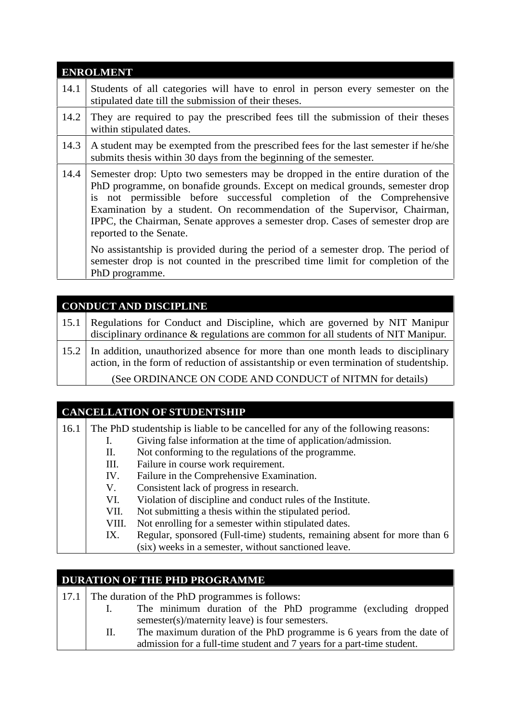| <b>ENROLMENT</b> |                                                                                                                                                                                                                                                                                                                                                                                                                                     |  |
|------------------|-------------------------------------------------------------------------------------------------------------------------------------------------------------------------------------------------------------------------------------------------------------------------------------------------------------------------------------------------------------------------------------------------------------------------------------|--|
| 14.1             | Students of all categories will have to enrol in person every semester on the<br>stipulated date till the submission of their theses.                                                                                                                                                                                                                                                                                               |  |
| 14.2             | They are required to pay the prescribed fees till the submission of their theses<br>within stipulated dates.                                                                                                                                                                                                                                                                                                                        |  |
| 14.3             | A student may be exempted from the prescribed fees for the last semester if he/she<br>submits thesis within 30 days from the beginning of the semester.                                                                                                                                                                                                                                                                             |  |
| 14.4             | Semester drop: Upto two semesters may be dropped in the entire duration of the<br>PhD programme, on bonafide grounds. Except on medical grounds, semester drop<br>not permissible before successful completion of the Comprehensive<br>is<br>Examination by a student. On recommendation of the Supervisor, Chairman,<br>IPPC, the Chairman, Senate approves a semester drop. Cases of semester drop are<br>reported to the Senate. |  |
|                  | No assistantship is provided during the period of a semester drop. The period of<br>semester drop is not counted in the prescribed time limit for completion of the<br>PhD programme.                                                                                                                                                                                                                                               |  |

## **CONDUCT AND DISCIPLINE**

| 15.1 | Regulations for Conduct and Discipline, which are governed by NIT Manipur<br>disciplinary ordinance & regulations are common for all students of NIT Manipur.            |
|------|--------------------------------------------------------------------------------------------------------------------------------------------------------------------------|
| 15.2 | In addition, unauthorized absence for more than one month leads to disciplinary<br>action, in the form of reduction of assistantship or even termination of studentship. |
|      | (See ORDINANCE ON CODE AND CONDUCT of NITMN for details)                                                                                                                 |

# **CANCELLATION OF STUDENTSHIP**

| 16.1 |       | The PhD studentship is liable to be cancelled for any of the following reasons: |
|------|-------|---------------------------------------------------------------------------------|
|      | 1.    | Giving false information at the time of application/admission.                  |
|      | П.    | Not conforming to the regulations of the programme.                             |
|      | Ш.    | Failure in course work requirement.                                             |
|      | IV.   | Failure in the Comprehensive Examination.                                       |
|      | V.    | Consistent lack of progress in research.                                        |
|      | VI.   | Violation of discipline and conduct rules of the Institute.                     |
|      | VII.  | Not submitting a thesis within the stipulated period.                           |
|      | VIII. | Not enrolling for a semester within stipulated dates.                           |
|      | IX.   | Regular, sponsored (Full-time) students, remaining absent for more than 6       |
|      |       | (six) weeks in a semester, without sanctioned leave.                            |

## **DURATION OF THE PHD PROGRAMME**

17.1 The duration of the PhD programmes is follows: I. The minimum duration of the PhD programme (excluding dropped semester(s)/maternity leave) is four semesters. II. The maximum duration of the PhD programme is 6 years from the date of admission for a full-time student and 7 years for a part-time student.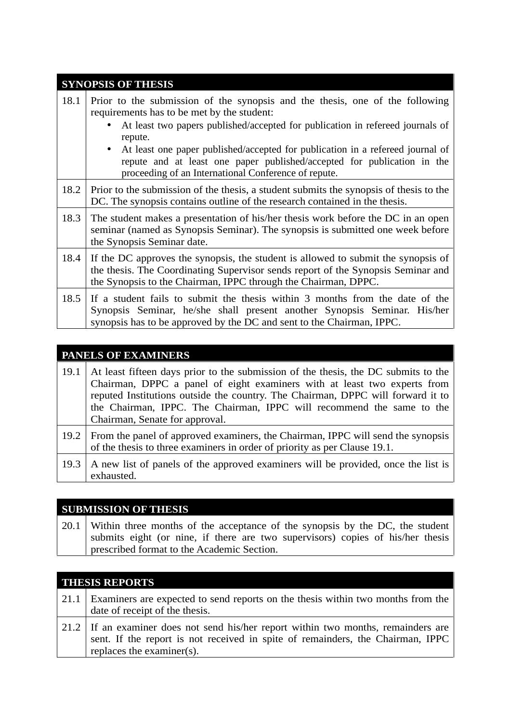|      | <b>SYNOPSIS OF THESIS</b>                                                                                                                                                                                                                                                                                                                                                                                                                    |
|------|----------------------------------------------------------------------------------------------------------------------------------------------------------------------------------------------------------------------------------------------------------------------------------------------------------------------------------------------------------------------------------------------------------------------------------------------|
| 18.1 | Prior to the submission of the synopsis and the thesis, one of the following<br>requirements has to be met by the student:<br>At least two papers published/accepted for publication in refereed journals of<br>repute.<br>At least one paper published/accepted for publication in a refereed journal of<br>repute and at least one paper published/accepted for publication in the<br>proceeding of an International Conference of repute. |
| 18.2 | Prior to the submission of the thesis, a student submits the synopsis of thesis to the<br>DC. The synopsis contains outline of the research contained in the thesis.                                                                                                                                                                                                                                                                         |
| 18.3 | The student makes a presentation of his/her thesis work before the DC in an open<br>seminar (named as Synopsis Seminar). The synopsis is submitted one week before<br>the Synopsis Seminar date.                                                                                                                                                                                                                                             |
| 18.4 | If the DC approves the synopsis, the student is allowed to submit the synopsis of<br>the thesis. The Coordinating Supervisor sends report of the Synopsis Seminar and<br>the Synopsis to the Chairman, IPPC through the Chairman, DPPC.                                                                                                                                                                                                      |
| 18.5 | If a student fails to submit the thesis within 3 months from the date of the<br>Synopsis Seminar, he/she shall present another Synopsis Seminar. His/her<br>synopsis has to be approved by the DC and sent to the Chairman, IPPC.                                                                                                                                                                                                            |

# **PANELS OF EXAMINERS**

| 19.1   At least fifteen days prior to the submission of the thesis, the DC submits to the<br>Chairman, DPPC a panel of eight examiners with at least two experts from<br>reputed Institutions outside the country. The Chairman, DPPC will forward it to<br>the Chairman, IPPC. The Chairman, IPPC will recommend the same to the<br>Chairman, Senate for approval. |
|---------------------------------------------------------------------------------------------------------------------------------------------------------------------------------------------------------------------------------------------------------------------------------------------------------------------------------------------------------------------|
| 19.2   From the panel of approved examiners, the Chairman, IPPC will send the synopsis<br>of the thesis to three examiners in order of priority as per Clause 19.1.                                                                                                                                                                                                 |
| 19.3   A new list of panels of the approved examiners will be provided, once the list is<br>exhausted.                                                                                                                                                                                                                                                              |

# **SUBMISSION OF THESIS**

20.1 Within three months of the acceptance of the synopsis by the DC, the student submits eight (or nine, if there are two supervisors) copies of his/her thesis prescribed format to the Academic Section.

| <b>THESIS REPORTS</b> |                                                                                                                                                                                                   |  |
|-----------------------|---------------------------------------------------------------------------------------------------------------------------------------------------------------------------------------------------|--|
| 21.1                  | Examiners are expected to send reports on the thesis within two months from the<br>date of receipt of the thesis.                                                                                 |  |
|                       | 21.2 If an examiner does not send his/her report within two months, remainders are<br>sent. If the report is not received in spite of remainders, the Chairman, IPPC<br>replaces the examiner(s). |  |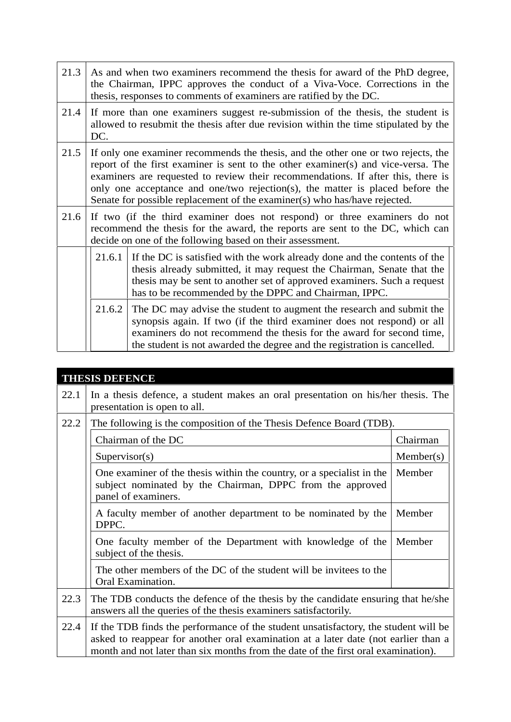| 21.3 |                                                                                                                                                                                                                                                                                                                                                                                                                          | As and when two examiners recommend the thesis for award of the PhD degree,<br>the Chairman, IPPC approves the conduct of a Viva-Voce. Corrections in the<br>thesis, responses to comments of examiners are ratified by the DC.                                                                    |  |
|------|--------------------------------------------------------------------------------------------------------------------------------------------------------------------------------------------------------------------------------------------------------------------------------------------------------------------------------------------------------------------------------------------------------------------------|----------------------------------------------------------------------------------------------------------------------------------------------------------------------------------------------------------------------------------------------------------------------------------------------------|--|
| 21.4 | If more than one examiners suggest re-submission of the thesis, the student is<br>allowed to resubmit the thesis after due revision within the time stipulated by the<br>DC.                                                                                                                                                                                                                                             |                                                                                                                                                                                                                                                                                                    |  |
| 21.5 | If only one examiner recommends the thesis, and the other one or two rejects, the<br>report of the first examiner is sent to the other examiner(s) and vice-versa. The<br>examiners are requested to review their recommendations. If after this, there is<br>only one acceptance and one/two rejection(s), the matter is placed before the<br>Senate for possible replacement of the examiner(s) who has/have rejected. |                                                                                                                                                                                                                                                                                                    |  |
| 21.6 | If two (if the third examiner does not respond) or three examiners do not<br>recommend the thesis for the award, the reports are sent to the DC, which can<br>decide on one of the following based on their assessment.                                                                                                                                                                                                  |                                                                                                                                                                                                                                                                                                    |  |
|      | 21.6.1                                                                                                                                                                                                                                                                                                                                                                                                                   | If the DC is satisfied with the work already done and the contents of the<br>thesis already submitted, it may request the Chairman, Senate that the<br>thesis may be sent to another set of approved examiners. Such a request<br>has to be recommended by the DPPC and Chairman, IPPC.            |  |
|      | 21.6.2                                                                                                                                                                                                                                                                                                                                                                                                                   | The DC may advise the student to augment the research and submit the<br>synopsis again. If two (if the third examiner does not respond) or all<br>examiners do not recommend the thesis for the award for second time,<br>the student is not awarded the degree and the registration is cancelled. |  |

| <b>THESIS DEFENCE</b> |                                                                                                                                                                                                                                                                |           |
|-----------------------|----------------------------------------------------------------------------------------------------------------------------------------------------------------------------------------------------------------------------------------------------------------|-----------|
| 22.1                  | In a thesis defence, a student makes an oral presentation on his/her thesis. The<br>presentation is open to all.                                                                                                                                               |           |
| 22.2                  | The following is the composition of the Thesis Defence Board (TDB).                                                                                                                                                                                            |           |
|                       | Chairman of the DC                                                                                                                                                                                                                                             | Chairman  |
|                       | Supervisor(s)                                                                                                                                                                                                                                                  | Member(s) |
|                       | One examiner of the thesis within the country, or a specialist in the<br>subject nominated by the Chairman, DPPC from the approved<br>panel of examiners.                                                                                                      | Member    |
|                       | A faculty member of another department to be nominated by the<br>DPPC.                                                                                                                                                                                         | Member    |
|                       | One faculty member of the Department with knowledge of the<br>subject of the thesis.                                                                                                                                                                           | Member    |
|                       | The other members of the DC of the student will be invitees to the<br>Oral Examination.                                                                                                                                                                        |           |
| 22.3                  | The TDB conducts the defence of the thesis by the candidate ensuring that he/she<br>answers all the queries of the thesis examiners satisfactorily.                                                                                                            |           |
| 22.4                  | If the TDB finds the performance of the student unsatisfactory, the student will be<br>asked to reappear for another oral examination at a later date (not earlier than a<br>month and not later than six months from the date of the first oral examination). |           |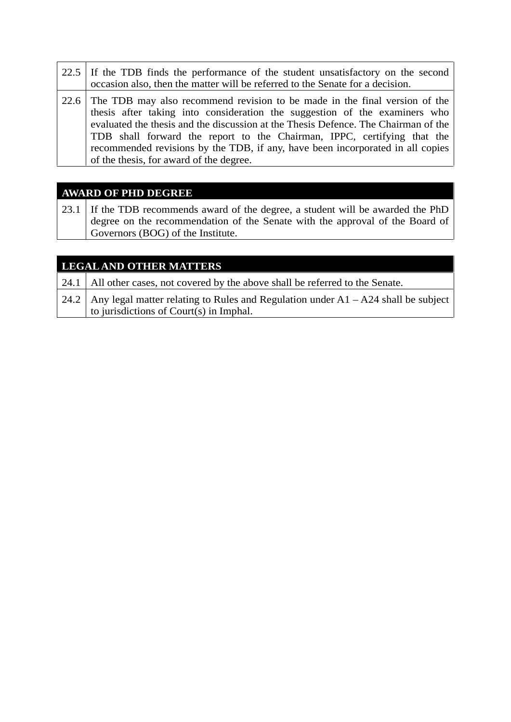| 22.5 If the TDB finds the performance of the student unsatisfactory on the second<br>occasion also, then the matter will be referred to the Senate for a decision.                                                                                                                                                                                                                                                                                          |  |
|-------------------------------------------------------------------------------------------------------------------------------------------------------------------------------------------------------------------------------------------------------------------------------------------------------------------------------------------------------------------------------------------------------------------------------------------------------------|--|
| 22.6 The TDB may also recommend revision to be made in the final version of the<br>thesis after taking into consideration the suggestion of the examiners who<br>evaluated the thesis and the discussion at the Thesis Defence. The Chairman of the<br>TDB shall forward the report to the Chairman, IPPC, certifying that the<br>recommended revisions by the TDB, if any, have been incorporated in all copies<br>of the thesis, for award of the degree. |  |

## **AWARD OF PHD DEGREE**

23.1 If the TDB recommends award of the degree, a student will be awarded the PhD degree on the recommendation of the Senate with the approval of the Board of Governors (BOG) of the Institute.

| <b>LEGAL AND OTHER MATTERS</b> |                                                                                            |  |
|--------------------------------|--------------------------------------------------------------------------------------------|--|
|                                | 24.1   All other cases, not covered by the above shall be referred to the Senate.          |  |
|                                | 24.2   Any legal matter relating to Rules and Regulation under $A1 - A24$ shall be subject |  |
|                                | to jurisdictions of Court(s) in Imphal.                                                    |  |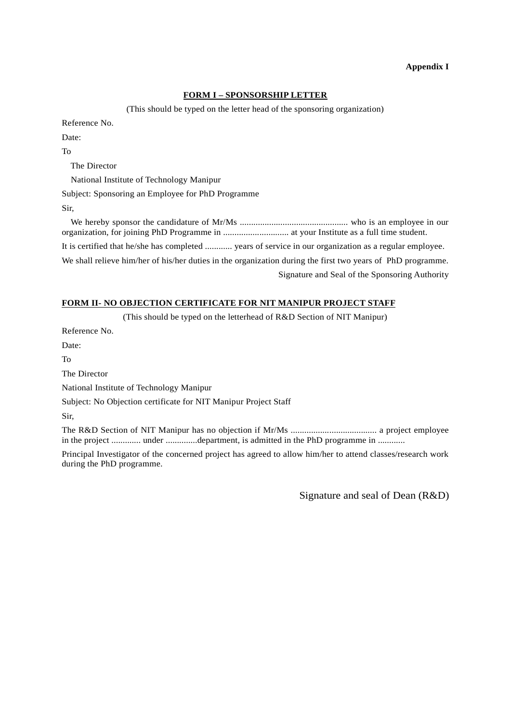#### **Appendix I**

#### **FORM I – SPONSORSHIP LETTER**

(This should be typed on the letter head of the sponsoring organization)

Reference No.

Date:

To

The Director

National Institute of Technology Manipur

Subject: Sponsoring an Employee for PhD Programme

Sir,

We hereby sponsor the candidature of Mr/Ms ................................................ who is an employee in our organization, for joining PhD Programme in ............................. at your Institute as a full time student. It is certified that he/she has completed ............ years of service in our organization as a regular employee. We shall relieve him/her of his/her duties in the organization during the first two years of PhD programme. Signature and Seal of the Sponsoring Authority

#### **FORM II- NO OBJECTION CERTIFICATE FOR NIT MANIPUR PROJECT STAFF**

(This should be typed on the letterhead of R&D Section of NIT Manipur)

Reference No.

Date:

To

The Director

National Institute of Technology Manipur

Subject: No Objection certificate for NIT Manipur Project Staff

Sir,

The R&D Section of NIT Manipur has no objection if Mr/Ms ...................................... a project employee in the project ............. under ..............department, is admitted in the PhD programme in ...........

Principal Investigator of the concerned project has agreed to allow him/her to attend classes/research work during the PhD programme.

Signature and seal of Dean (R&D)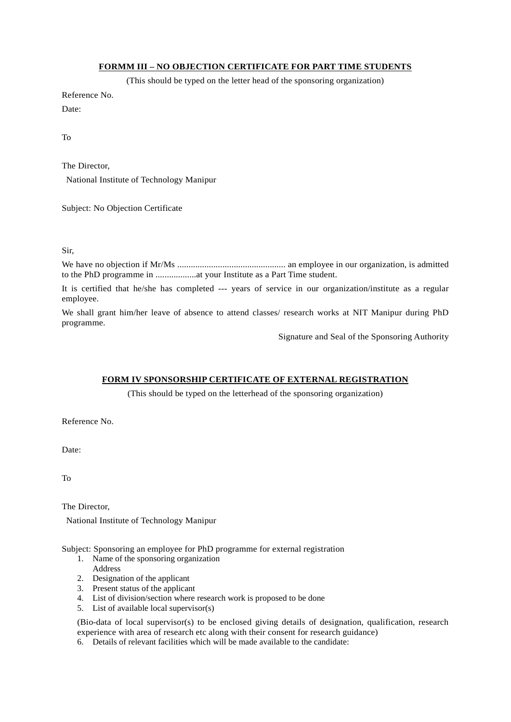#### **FORMM III – NO OBJECTION CERTIFICATE FOR PART TIME STUDENTS**

(This should be typed on the letter head of the sponsoring organization)

Reference No.

Date:

To

The Director,

National Institute of Technology Manipur

Subject: No Objection Certificate

Sir,

We have no objection if Mr/Ms ................................................ an employee in our organization, is admitted to the PhD programme in ..................at your Institute as a Part Time student.

It is certified that he/she has completed --- years of service in our organization/institute as a regular employee.

We shall grant him/her leave of absence to attend classes/ research works at NIT Manipur during PhD programme.

Signature and Seal of the Sponsoring Authority

#### **FORM IV SPONSORSHIP CERTIFICATE OF EXTERNAL REGISTRATION**

(This should be typed on the letterhead of the sponsoring organization)

Reference No.

Date:

To

The Director,

National Institute of Technology Manipur

Subject: Sponsoring an employee for PhD programme for external registration

- 1. Name of the sponsoring organization
- Address
- 2. Designation of the applicant
- 3. Present status of the applicant
- 4. List of division/section where research work is proposed to be done
- 5. List of available local supervisor(s)

(Bio-data of local supervisor(s) to be enclosed giving details of designation, qualification, research experience with area of research etc along with their consent for research guidance)

6. Details of relevant facilities which will be made available to the candidate: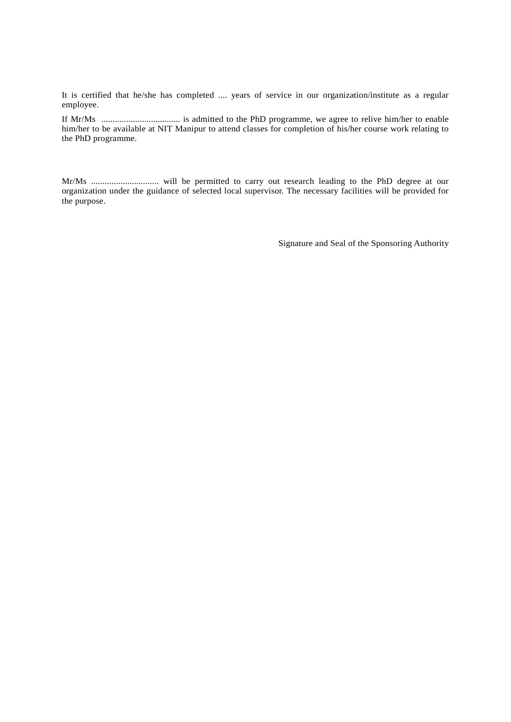It is certified that he/she has completed .... years of service in our organization/institute as a regular employee.

If Mr/Ms ................................... is admitted to the PhD programme, we agree to relive him/her to enable him/her to be available at NIT Manipur to attend classes for completion of his/her course work relating to the PhD programme.

Mr/Ms .............................. will be permitted to carry out research leading to the PhD degree at our organization under the guidance of selected local supervisor. The necessary facilities will be provided for the purpose.

Signature and Seal of the Sponsoring Authority